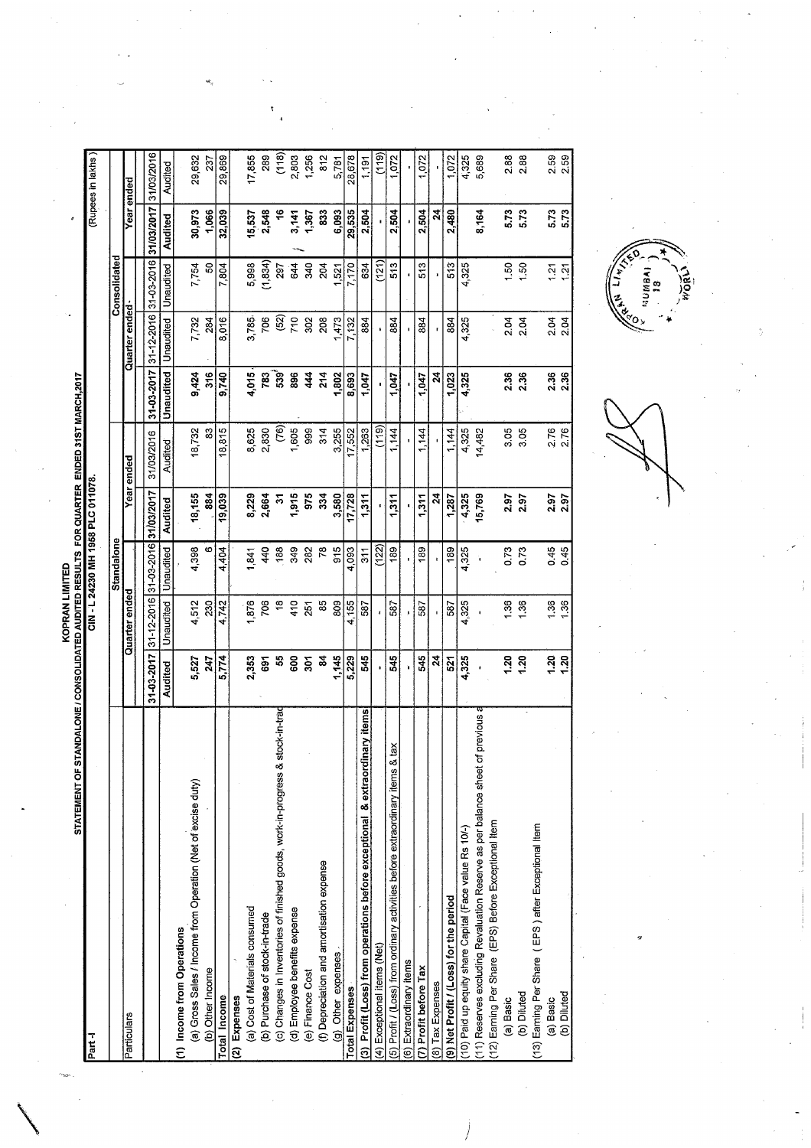|                                        | NT OF STANDALONE / CONSOLIDATED AUDITED RESULTS FOR QUARTER ENDED 31ST MARY                                    |
|----------------------------------------|----------------------------------------------------------------------------------------------------------------|
|                                        |                                                                                                                |
|                                        |                                                                                                                |
| <b><i><u><b>ICONDENSER</b></u></i></b> | i shekara 1979 iyo qorta 1979 iyo qorta 1979 iyo qorta 1979 iyo qorta 1979 iyo qorta 1979 iyo qorta 1979 iyo q |
|                                        |                                                                                                                |
|                                        |                                                                                                                |
|                                        |                                                                                                                |
|                                        |                                                                                                                |
|                                        |                                                                                                                |
|                                        |                                                                                                                |
|                                        |                                                                                                                |

| STATEMENT OF STANDALONE / CONSOLIDATED AUDITED RESULTS FOR QUARTER ENDED 31ST MARCH,2017<br>Part -l |                  |                                  |                 | CIN - L 24230 MH 1958 PLC 011078. |            |                  |                           |              |                       | (Rupees in lakhs) |
|-----------------------------------------------------------------------------------------------------|------------------|----------------------------------|-----------------|-----------------------------------|------------|------------------|---------------------------|--------------|-----------------------|-------------------|
|                                                                                                     |                  |                                  | Standalone      |                                   |            |                  |                           | Consolidated |                       |                   |
| Particulars                                                                                         |                  | Quarter ended                    |                 |                                   | Year ended |                  | Quarter ended-            |              |                       | Year ended        |
|                                                                                                     | 31-03-2017       | 31-12-2016 31-03-2016 31/03/2017 |                 |                                   | 31/03/2016 | 31-03-2017       | 31-12-2016                |              | 31-03-2016 31/03/2017 | 31/03/2016        |
|                                                                                                     | Audited          | Unaudited                        | Unaudited       | Audited                           | Audited    | Unaudited        | Unaudited                 | Unaudited    | Audited               | Audited           |
| (1) Income from Operations                                                                          |                  |                                  |                 |                                   |            |                  |                           |              |                       |                   |
| (a) Gross Sales / Income from Operation (Net of excise duty)                                        | 5,527            | 4,512                            | 4,398           | 18,155                            | 18,732     | 9,424            | 7,732                     | 7,754        | 30,973                | 29,632            |
| (b) Other Income                                                                                    | 247              | 230                              | ဖ               | 884                               | 83         | 316              | 284                       | 50           | 1,066                 | 237               |
| Total Income                                                                                        | 5,774            | 4,742                            | 4,404           | 19,039                            | 18,815     | 9,740            | 8,016                     | 7,804        | 32,039                | 29,869            |
| (2) Expenses                                                                                        |                  |                                  |                 |                                   |            |                  |                           |              |                       |                   |
| (a) Cost of Materials consumed                                                                      | 2,353            | 876                              | 1,841           | 8,229                             | 8,625      | 4,015            | 3,785                     | 5,998        | 15,537                | 17,855            |
| (b) Purchase of stock-in-trade                                                                      | 691              | 706                              | 440             | 2,664                             | 2,830      | 783              | 706                       | (1, 834)     | 2,548                 | 289               |
| stock-in-trad<br>(c) Changes in Inventories of finished goods, work-in-progress &                   | 55               | $\frac{8}{3}$                    | 188             | 2                                 | (76)       | 539              | $\widetilde{\mathcal{E}}$ | 297          | ۴                     | (118)             |
| (d) Employee benefits expense                                                                       | 600              | 410                              | 349             | 1,915                             | 1,605      | 896              | 710                       | 644          | 3,141                 | 2,803             |
| (e) Finance Cost                                                                                    | 501              | 251                              | 282             | 975                               | 999        | 444              | 302                       | 340          | 1,367                 | 1,256             |
| (f) Depreciation and amortisation expense                                                           | 2                | 85                               | 78              | 334                               | 314        | 214              | 208                       | 204          | 833                   | 812               |
| (g) Other expenses                                                                                  | 1,145            | 809                              | 915             | 3,580                             | 3,255      | 1,802            | 1,473                     | 521          | 6,093                 | 5,781             |
| <b>Total Expenses</b>                                                                               | 5,229            | 4,155                            | 4,093           | 17,728                            | 17,552     | 8,693            | 7,132                     | 7,170        | 29,535                | 28,678            |
| inary items<br>& extraord<br>(3) Profit (Loss) from operations before exceptional                   | 545              | 587                              | $\frac{311}{2}$ | 1,311                             | 1,263      | 1,047            | 884                       | 634          | 2,504                 | 1.191             |
| (4) Exceptional items (Net)                                                                         |                  |                                  | (122)           |                                   | (119)      |                  |                           | (121)        |                       | (119)             |
| tax<br>(5) Profit / (Loss) from ordinary activities before extraordinary items &                    | 545              | 587                              | 189             | 1,311                             | 1,144      | 1,047            | 884                       | 513          | 2,504                 | 1,072             |
| (6) Extraordinary items                                                                             |                  |                                  |                 | $\blacksquare$                    |            |                  |                           |              |                       | ł,                |
| (7) Profit before Tax                                                                               | 545              | 587                              | 189             | 1,311                             | 1,144      | 1,047            | 884                       | 513          | 2,504                 | 1,072             |
| (8) Tax Expenses                                                                                    | $\boldsymbol{z}$ |                                  | ĩ.              | $\boldsymbol{z}$                  |            | $\boldsymbol{z}$ |                           | $\mathbf{I}$ | $\mathbf{z}$          |                   |
| (9) Net Profit / (Loss) for the period                                                              | 521              | 587                              | 189             | 1,287                             | 1,144      | 1,023            | 884                       | 513          | 2,480                 | 1,072             |
| (10) Paid up equity share Capital (Face value Rs 10/-)                                              | 4,325            | 4,325                            | 4,325           | 4,325                             | 4,325      | 4,325            | 4,325                     | 4,325        |                       | 4,325             |
| (11) Reserves excluding Revaluation Reserve as per balance sheet of previous a                      |                  |                                  | Ì,              | 15,769                            | 14,482     |                  |                           |              | 8,164                 | 5,689             |
| (12) Earning Per Share (EPS) Before Exceptional Item                                                |                  |                                  |                 |                                   |            |                  |                           |              |                       |                   |
| (a) Basic                                                                                           | 1.20             | 36                               | 0.73            | 2.97                              | 3.05       | 2.36             | 2.04                      | $50 - 50$    | 5.73                  | 2.88              |
| (b) Diluted                                                                                         | 1.20             | 1.36                             | 0.73            | 2.97                              | 3.05       | 2.36             | 2.04                      | 1.50         | 5.73                  | 2.88              |
| (13) Earning Per Share (EPS) after Exceptional Item                                                 |                  |                                  |                 |                                   |            |                  |                           |              |                       |                   |
| (a) Basic<br>(b) Diluted                                                                            | 1.20             | 1.36                             | 0.45            | 2.97                              | 2.76       | $2.36$<br>$2.36$ | 2.04                      | ភ្នំ<br>វត្ត | 5.73<br>5.73          | 2.59              |
|                                                                                                     | 1,20             | 1.36                             | 0.45            | 2.97                              | 2.76       |                  | 2.04                      |              |                       | 2.59              |
|                                                                                                     |                  |                                  |                 |                                   |            |                  |                           |              |                       |                   |

**CONTRACTES** MORL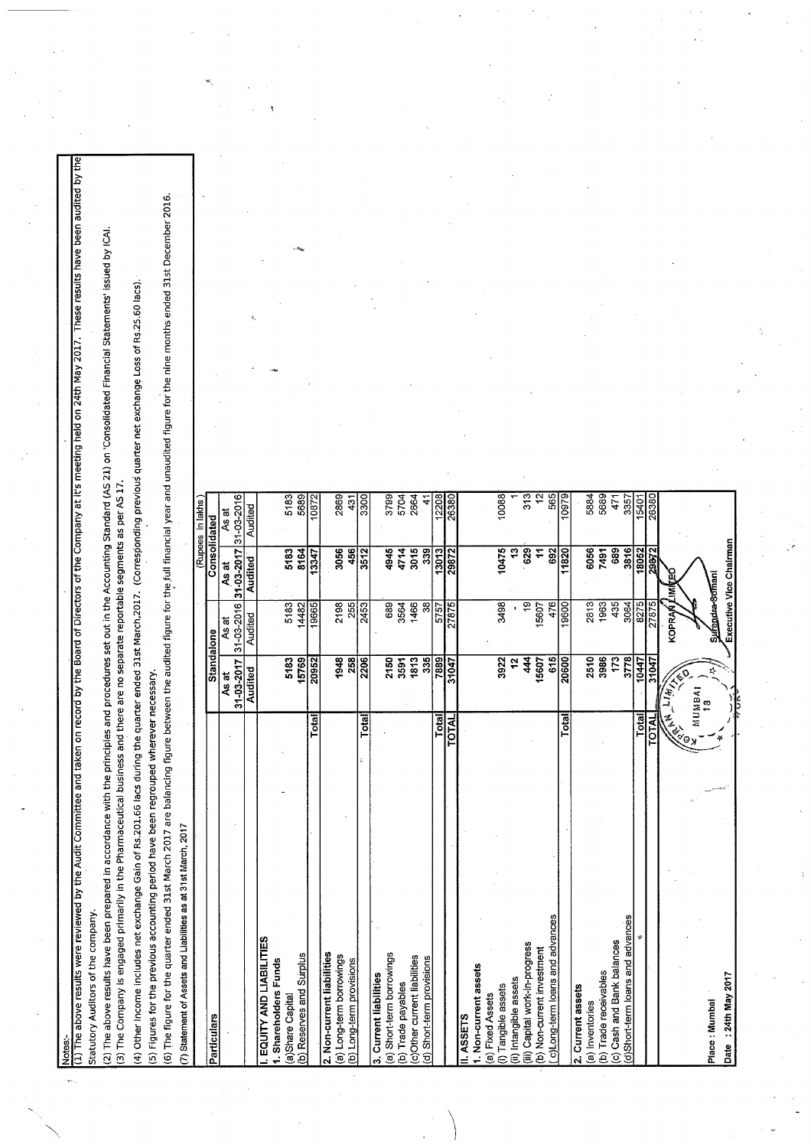The above results were reviewed by the Audit Committee and taken on record by the Board of Directors of the Company at it's meeting held on 24th May 2017. These results have been audited by th Statutory Auditors of the company.

(2) The above results have been prepared in accordance with the principles and procedures set out in the Accounting Standard (AS 21) on 'Consolidated Financial Statements' issued by ICAI.<br>(3) The Company is engaged primari

(4) Other Income includes net exchange Gain of Rs.201.66 lacs during the quarter ended 31st March,2017. (Corresponding previous quarter net exchange Loss of Rs.25.60 lacs).

(5) Figures for the previous accounting period have been regrouped wherever necessary.

(6) The figure for the quarter ended 31st March 2017 are balancing figure between the audited full financial year and unaudited figure for the nine months ended 31st December 2016. The mask of assets and Liabilities as at 31st March 2017

| es al si Mariul, 201<br>lighting die die Soort is die Lighting (1) |              |                          |                 |                        |
|--------------------------------------------------------------------|--------------|--------------------------|-----------------|------------------------|
|                                                                    |              |                          |                 | (Rupees in lakhs       |
| Particulars                                                        |              | Standalone               | Consolidated    |                        |
|                                                                    | As at        | As at                    | As at           | As at                  |
|                                                                    | 31-03-2017   | 31-03-2016               | 31-03-2017      | 31-03-2016             |
|                                                                    | Audited      | Audited                  | Audited         | Audited                |
| EQUITY AND LIABILITIES                                             |              |                          |                 |                        |
| 1. Shareholders Funds                                              |              |                          |                 |                        |
| (a)Share Capital                                                   | 5183         | 5183                     | 5183            | 5183                   |
| (b) Reserves and Surplus                                           | 15769        | 14482                    | 8164            | 5689                   |
| Total                                                              | 20952        | 19665                    | 13347           | 10872                  |
| 2. Non-current liabilities                                         |              |                          |                 |                        |
| (a) Long-term borrowings                                           | 1948         | 2198                     | 3056            | 2869                   |
| (b) Long-term provisions                                           | 258          | 255                      | 456             | $\frac{43}{1}$         |
| Total                                                              | 2206         | 2453                     | 3512            | $\overline{\text{18}}$ |
| 3. Current liabilities                                             |              |                          |                 |                        |
| (a) Short-term borrowings                                          | 2150         | 689                      | 4945            | 3799                   |
| (b) Trade payables                                                 | 3591         | 3564                     | 4714            | 5704                   |
| (c)Other current liabilities                                       | 1813         | 1466                     | 3015            | 2664                   |
| (d) Short-term provisions                                          | 335          | $\overline{\mathcal{S}}$ | 339             | 4                      |
| Total                                                              | 7889         | 5757                     | 13013           | 12208                  |
| TOTAL                                                              | 31047        | 27875                    | 29872           | 26380                  |
| II. ASSETS                                                         |              |                          |                 |                        |
| 1. Non-current assets                                              |              |                          |                 |                        |
| (a) Fixed Assets                                                   |              |                          |                 |                        |
| (i) Tangible assets                                                | 3922         | 3498                     | 10475           | 10088                  |
| (ii) Intangible assets                                             | 51           |                          | $\overline{13}$ |                        |
| (iii) Capital work-in-progress                                     | 44           | 19                       | 629             | 313                    |
| (b) Non-current investment                                         | 15607        | 15607                    | <u>h</u>        | $\frac{1}{2}$          |
| c)Long-term loans and advances                                     | 615          | 476                      | 692             | 565                    |
| Total                                                              | 20600        | 19600                    | 11820           | 10979                  |
| 2. Current assets                                                  |              |                          |                 |                        |
| (a) Inventories                                                    | 2510         | 2813                     | 6056            | 5884                   |
| (b) Trade receivables                                              | 3986         | 1963                     | 7491            | 5689                   |
| (c) Cash and Bank balances                                         | 173          | 435                      | 689             | 471                    |
| (d)Short-term loans and advances                                   | 3778         | 3064                     | 3816            | 3357                   |
| Total                                                              | 10447        | 8275                     | 18052           | 15401                  |
| <b>TOTAL</b>                                                       | 31047        | 27875                    | 29872           | 26380                  |
|                                                                    |              | KOPRAN                   | ទួ<br>Ξ         |                        |
| NEW ON                                                             | <b>Light</b> |                          |                 |                        |
|                                                                    | MUMBAI       |                          |                 |                        |
| Place: Mumbai                                                      | ø,           | <b>Sufendra-Somani</b>   |                 |                        |
| てトロC vefil カムた<br>Date                                             |              |                          | ţ               |                        |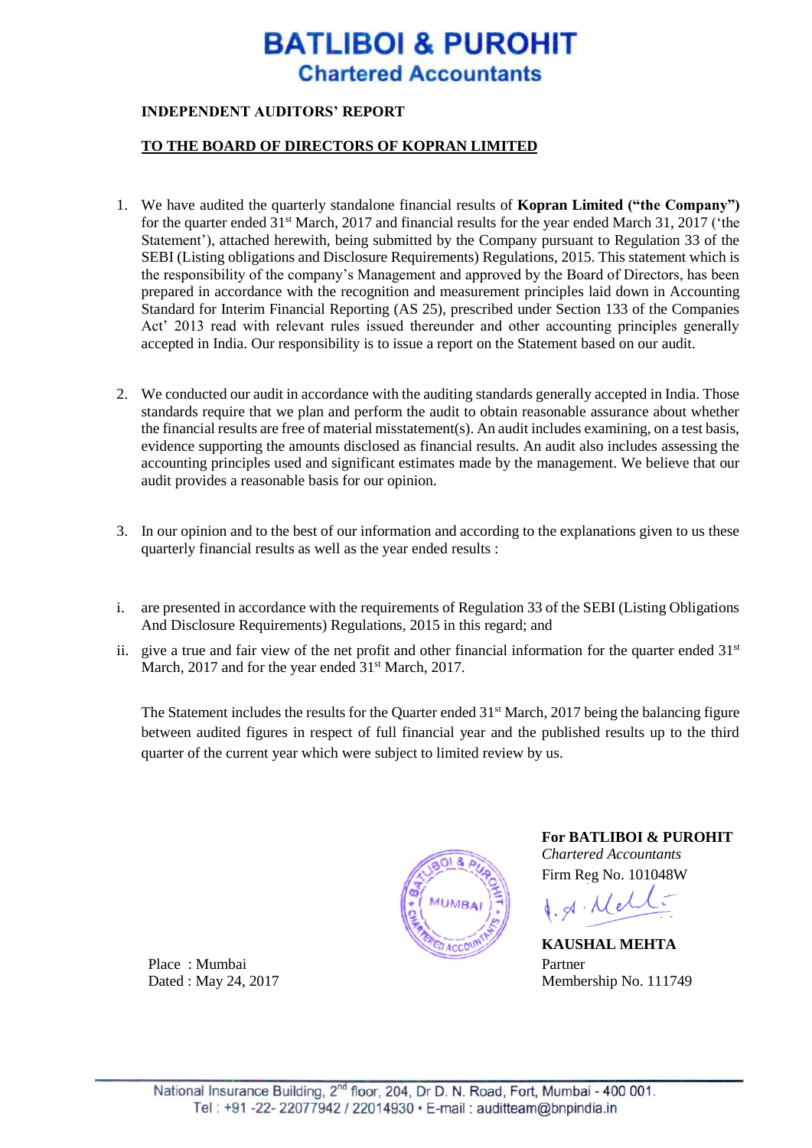# **BATLIBOI & PUROHIT Chartered Accountants**

### **INDEPENDENT AUDITORS' REPORT**

#### **TO THE BOARD OF DIRECTORS OF KOPRAN LIMITED**

- 1. We have audited the quarterly standalone financial results of **Kopran Limited ("the Company")** for the quarter ended  $31<sup>st</sup>$  March, 2017 and financial results for the year ended March 31, 2017 ('the Statement'), attached herewith, being submitted by the Company pursuant to Regulation 33 of the SEBI (Listing obligations and Disclosure Requirements) Regulations, 2015. This statement which is the responsibility of the company's Management and approved by the Board of Directors, has been prepared in accordance with the recognition and measurement principles laid down in Accounting Standard for Interim Financial Reporting (AS 25), prescribed under Section 133 of the Companies Act' 2013 read with relevant rules issued thereunder and other accounting principles generally accepted in India. Our responsibility is to issue a report on the Statement based on our audit.
- 2. We conducted our audit in accordance with the auditing standards generally accepted in India. Those standards require that we plan and perform the audit to obtain reasonable assurance about whether the financial results are free of material misstatement(s). An audit includes examining, on a test basis, evidence supporting the amounts disclosed as financial results. An audit also includes assessing the accounting principles used and significant estimates made by the management. We believe that our audit provides a reasonable basis for our opinion.
- 3. In our opinion and to the best of our information and according to the explanations given to us these quarterly financial results as well as the year ended results :
- i. are presented in accordance with the requirements of Regulation 33 of the SEBI (Listing Obligations And Disclosure Requirements) Regulations, 2015 in this regard; and
- ii. give a true and fair view of the net profit and other financial information for the quarter ended  $31<sup>st</sup>$ March, 2017 and for the year ended 31<sup>st</sup> March, 2017.

The Statement includes the results for the Quarter ended 31<sup>st</sup> March, 2017 being the balancing figure between audited figures in respect of full financial year and the published results up to the third quarter of the current year which were subject to limited review by us.



**For BATLIBOI & PUROHIT** *Chartered Accountants* Firm Reg No. 101048W

 $d. d. Mell.$ 

**KAUSHAL MEHTA** Dated : May 24, 2017 Membership No. 111749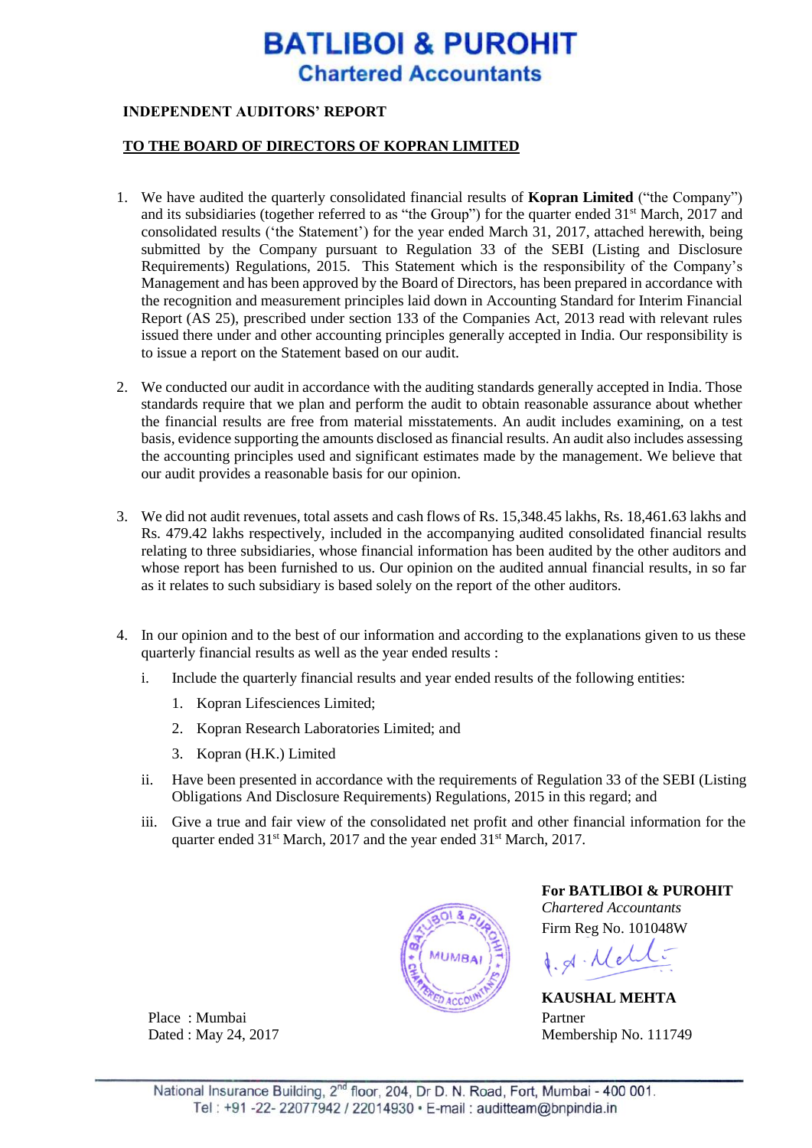# **BATLIBOI & PUROHIT Chartered Accountants**

### **INDEPENDENT AUDITORS' REPORT**

#### **TO THE BOARD OF DIRECTORS OF KOPRAN LIMITED**

- 1. We have audited the quarterly consolidated financial results of **Kopran Limited** ("the Company") and its subsidiaries (together referred to as "the Group") for the quarter ended 31<sup>st</sup> March, 2017 and consolidated results ('the Statement') for the year ended March 31, 2017, attached herewith, being submitted by the Company pursuant to Regulation 33 of the SEBI (Listing and Disclosure Requirements) Regulations, 2015. This Statement which is the responsibility of the Company's Management and has been approved by the Board of Directors, has been prepared in accordance with the recognition and measurement principles laid down in Accounting Standard for Interim Financial Report (AS 25), prescribed under section 133 of the Companies Act, 2013 read with relevant rules issued there under and other accounting principles generally accepted in India. Our responsibility is to issue a report on the Statement based on our audit.
- 2. We conducted our audit in accordance with the auditing standards generally accepted in India. Those standards require that we plan and perform the audit to obtain reasonable assurance about whether the financial results are free from material misstatements. An audit includes examining, on a test basis, evidence supporting the amounts disclosed as financial results. An audit also includes assessing the accounting principles used and significant estimates made by the management. We believe that our audit provides a reasonable basis for our opinion.
- 3. We did not audit revenues, total assets and cash flows of Rs. 15,348.45 lakhs, Rs. 18,461.63 lakhs and Rs. 479.42 lakhs respectively, included in the accompanying audited consolidated financial results relating to three subsidiaries, whose financial information has been audited by the other auditors and whose report has been furnished to us. Our opinion on the audited annual financial results, in so far as it relates to such subsidiary is based solely on the report of the other auditors.
- 4. In our opinion and to the best of our information and according to the explanations given to us these quarterly financial results as well as the year ended results :
	- i. Include the quarterly financial results and year ended results of the following entities:
		- 1. Kopran Lifesciences Limited;
		- 2. Kopran Research Laboratories Limited; and
		- 3. Kopran (H.K.) Limited
	- ii. Have been presented in accordance with the requirements of Regulation 33 of the SEBI (Listing Obligations And Disclosure Requirements) Regulations, 2015 in this regard; and
	- iii. Give a true and fair view of the consolidated net profit and other financial information for the quarter ended 31<sup>st</sup> March, 2017 and the year ended 31<sup>st</sup> March, 2017.



**For BATLIBOI & PUROHIT** *Chartered Accountants*

Firm Reg No. 101048W

 $d.81 \cdot \text{Med}$ 

**KAUSHAL MEHTA** Dated : May 24, 2017 Membership No. 111749